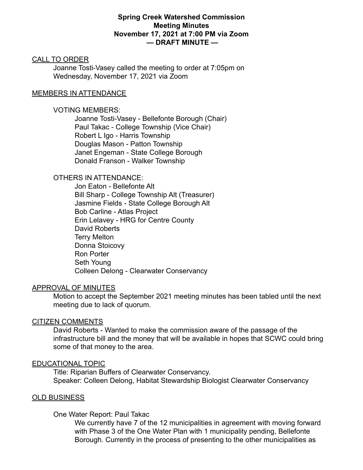## **Spring Creek Watershed Commission Meeting Minutes November 17, 2021 at 7:00 PM via Zoom — DRAFT MINUTE —**

#### CALL TO ORDER

Joanne Tosti-Vasey called the meeting to order at 7:05pm on Wednesday, November 17, 2021 via Zoom

### MEMBERS IN ATTENDANCE

## VOTING MEMBERS:

Joanne Tosti-Vasey - Bellefonte Borough (Chair) Paul Takac - College Township (Vice Chair) Robert L Igo - Harris Township Douglas Mason - Patton Township Janet Engeman - State College Borough Donald Franson - Walker Township

# OTHERS IN ATTENDANCE:

Jon Eaton - Bellefonte Alt Bill Sharp - College Township Alt (Treasurer) Jasmine Fields - State College Borough Alt Bob Carline - Atlas Project Erin Lelavey - HRG for Centre County David Roberts Terry Melton Donna Stoicovy Ron Porter Seth Young Colleen Delong - Clearwater Conservancy

#### APPROVAL OF MINUTES

Motion to accept the September 2021 meeting minutes has been tabled until the next meeting due to lack of quorum.

#### CITIZEN COMMENTS

David Roberts - Wanted to make the commission aware of the passage of the infrastructure bill and the money that will be available in hopes that SCWC could bring some of that money to the area.

#### EDUCATIONAL TOPIC

Title: Riparian Buffers of Clearwater Conservancy. Speaker: Colleen Delong, Habitat Stewardship Biologist Clearwater Conservancy

## OLD BUSINESS

#### One Water Report: Paul Takac

We currently have 7 of the 12 municipalities in agreement with moving forward with Phase 3 of the One Water Plan with 1 municipality pending, Bellefonte Borough. Currently in the process of presenting to the other municipalities as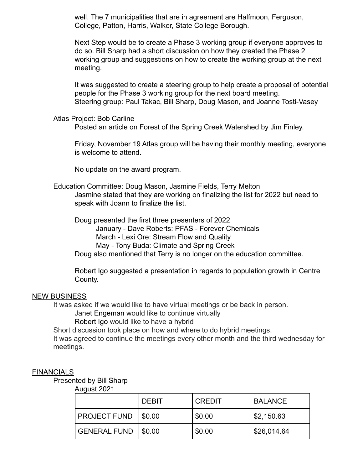well. The 7 municipalities that are in agreement are Halfmoon, Ferguson, College, Patton, Harris, Walker, State College Borough.

Next Step would be to create a Phase 3 working group if everyone approves to do so. Bill Sharp had a short discussion on how they created the Phase 2 working group and suggestions on how to create the working group at the next meeting.

It was suggested to create a steering group to help create a proposal of potential people for the Phase 3 working group for the next board meeting. Steering group: Paul Takac, Bill Sharp, Doug Mason, and Joanne Tosti-Vasey

### Atlas Project: Bob Carline

Posted an article on Forest of the Spring Creek Watershed by Jim Finley.

Friday, November 19 Atlas group will be having their monthly meeting, everyone is welcome to attend.

No update on the award program.

Education Committee: Doug Mason, Jasmine Fields, Terry Melton Jasmine stated that they are working on finalizing the list for 2022 but need to speak with Joann to finalize the list.

Doug presented the first three presenters of 2022 January - Dave Roberts: PFAS - Forever Chemicals March - Lexi Ore: Stream Flow and Quality May - Tony Buda: Climate and Spring Creek Doug also mentioned that Terry is no longer on the education committee.

Robert Igo suggested a presentation in regards to population growth in Centre County.

## NEW BUSINESS

It was asked if we would like to have virtual meetings or be back in person.

Janet Engeman would like to continue virtually

Robert Igo would like to have a hybrid

Short discussion took place on how and where to do hybrid meetings.

It was agreed to continue the meetings every other month and the third wednesday for meetings.

## **FINANCIALS**

Presented by Bill Sharp

August 2021

|                     | DEBIT  | <b>CREDIT</b> | <b>BALANCE</b>        |
|---------------------|--------|---------------|-----------------------|
| PROJECT FUND        | \$0.00 | $\$\,0.00$    | $\frac{1}{2}$ ,150.63 |
| <b>GENERAL FUND</b> | \$0.00 | $\$\,0.00$    | \$26,014.64           |